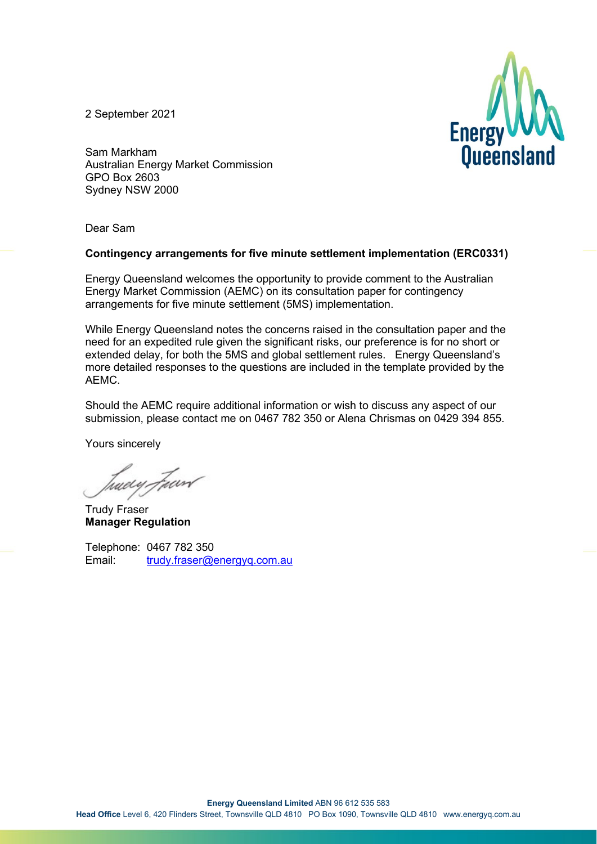2 September 2021



Sam Markham Australian Energy Market Commission GPO Box 2603 Sydney NSW 2000

Dear Sam

#### **Contingency arrangements for five minute settlement implementation (ERC0331)**

Energy Queensland welcomes the opportunity to provide comment to the Australian Energy Market Commission (AEMC) on its consultation paper for contingency arrangements for five minute settlement (5MS) implementation.

While Energy Queensland notes the concerns raised in the consultation paper and the need for an expedited rule given the significant risks, our preference is for no short or extended delay, for both the 5MS and global settlement rules. Energy Queensland's more detailed responses to the questions are included in the template provided by the AEMC.

Should the AEMC require additional information or wish to discuss any aspect of our submission, please contact me on 0467 782 350 or Alena Chrismas on 0429 394 855.

Yours sincerely

tudy Fur

Trudy Fraser **Manager Regulation**

Telephone: 0467 782 350 Email: [trudy.fraser@energyq.com.au](mailto:trudy.fraser@energyq.com.au)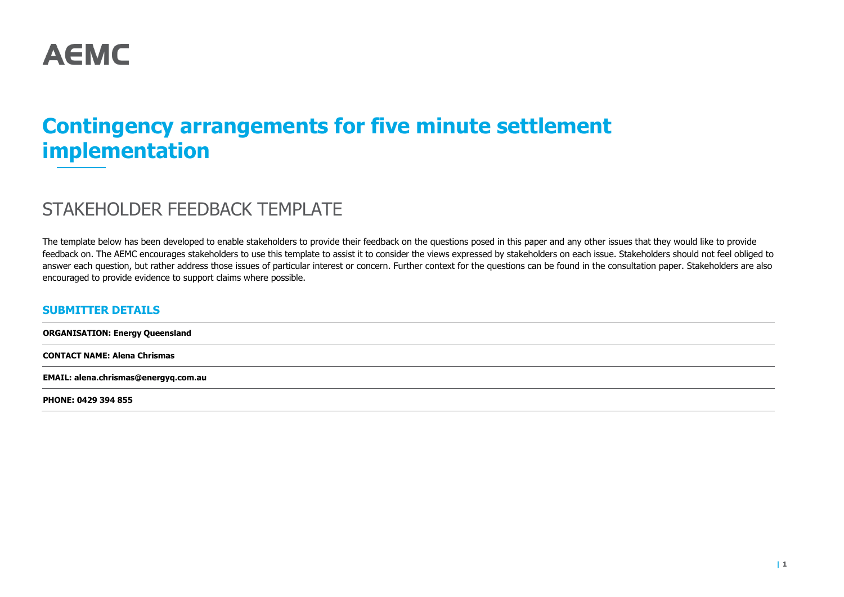

# **Contingency arrangements for five minute settlement implementation**

# STAKEHOLDER FEEDBACK TEMPLATE

The template below has been developed to enable stakeholders to provide their feedback on the questions posed in this paper and any other issues that they would like to provide feedback on. The AEMC encourages stakeholders to use this template to assist it to consider the views expressed by stakeholders on each issue. Stakeholders should not feel obliged to answer each question, but rather address those issues of particular interest or concern. Further context for the questions can be found in the consultation paper. Stakeholders are also encouraged to provide evidence to support claims where possible.

#### **SUBMITTER DETAILS**

**ORGANISATION: Energy Queensland CONTACT NAME: Alena Chrismas EMAIL: alena.chrismas@energyq.com.au PHONE: 0429 394 855**

**| 1**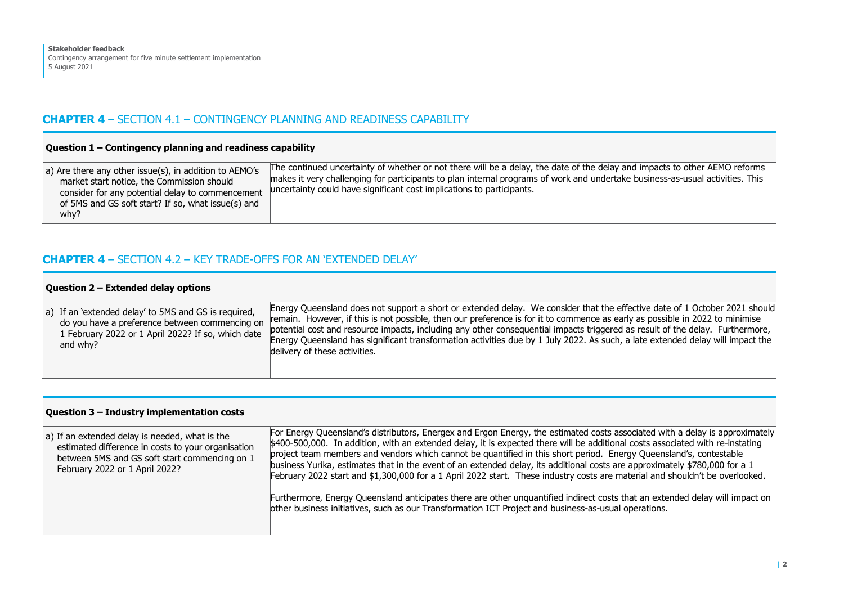# **CHAPTER 4** – SECTION 4.1 – CONTINGENCY PLANNING AND READINESS CAPABILITY

#### **Question 1 – Contingency planning and readiness capability**

| a) Are there any other issue(s), in addition to AEMO's<br>market start notice, the Commission should<br>consider for any potential delay to commencement<br>of 5MS and GS soft start? If so, what issue(s) and<br>whv? | The continued uncertainty of whether or not there will be a delay, the date of the delay and impacts to other AEMO reforms<br>makes it very challenging for participants to plan internal programs of work and undertake business-as-usual activities. This<br>uncertainty could have significant cost implications to participants. |
|------------------------------------------------------------------------------------------------------------------------------------------------------------------------------------------------------------------------|--------------------------------------------------------------------------------------------------------------------------------------------------------------------------------------------------------------------------------------------------------------------------------------------------------------------------------------|
|------------------------------------------------------------------------------------------------------------------------------------------------------------------------------------------------------------------------|--------------------------------------------------------------------------------------------------------------------------------------------------------------------------------------------------------------------------------------------------------------------------------------------------------------------------------------|

# **CHAPTER 4** – SECTION 4.2 – KEY TRADE-OFFS FOR AN 'EXTENDED DELAY'

#### **Question 2 – Extended delay options**

| a) If an 'extended delay' to 5MS and GS is required,<br>do you have a preference between commencing on<br>1 February 2022 or 1 April 2022? If so, which date<br>and why? | Energy Queensland does not support a short or extended delay. We consider that the effective date of 1 October 2021 should<br>remain. However, if this is not possible, then our preference is for it to commence as early as possible in 2022 to minimise<br>potential cost and resource impacts, including any other consequential impacts triggered as result of the delay. Furthermore,<br>Energy Queensland has significant transformation activities due by 1 July 2022. As such, a late extended delay will impact the<br>delivery of these activities. |
|--------------------------------------------------------------------------------------------------------------------------------------------------------------------------|----------------------------------------------------------------------------------------------------------------------------------------------------------------------------------------------------------------------------------------------------------------------------------------------------------------------------------------------------------------------------------------------------------------------------------------------------------------------------------------------------------------------------------------------------------------|
|--------------------------------------------------------------------------------------------------------------------------------------------------------------------------|----------------------------------------------------------------------------------------------------------------------------------------------------------------------------------------------------------------------------------------------------------------------------------------------------------------------------------------------------------------------------------------------------------------------------------------------------------------------------------------------------------------------------------------------------------------|

#### **Question 3 – Industry implementation costs**

| a) If an extended delay is needed, what is the<br>estimated difference in costs to your organisation<br>between 5MS and GS soft start commencing on 1<br>February 2022 or 1 April 2022? | For Energy Queensland's distributors, Energex and Ergon Energy, the estimated costs associated with a delay is approximately<br>\$400-500,000. In addition, with an extended delay, it is expected there will be additional costs associated with re-instating<br>project team members and vendors which cannot be quantified in this short period. Energy Queensland's, contestable<br>business Yurika, estimates that in the event of an extended delay, its additional costs are approximately \$780,000 for a 1<br>February 2022 start and \$1,300,000 for a 1 April 2022 start. These industry costs are material and shouldn't be overlooked. |
|-----------------------------------------------------------------------------------------------------------------------------------------------------------------------------------------|-----------------------------------------------------------------------------------------------------------------------------------------------------------------------------------------------------------------------------------------------------------------------------------------------------------------------------------------------------------------------------------------------------------------------------------------------------------------------------------------------------------------------------------------------------------------------------------------------------------------------------------------------------|
|                                                                                                                                                                                         | Furthermore, Energy Queensland anticipates there are other unquantified indirect costs that an extended delay will impact on<br>other business initiatives, such as our Transformation ICT Project and business-as-usual operations.                                                                                                                                                                                                                                                                                                                                                                                                                |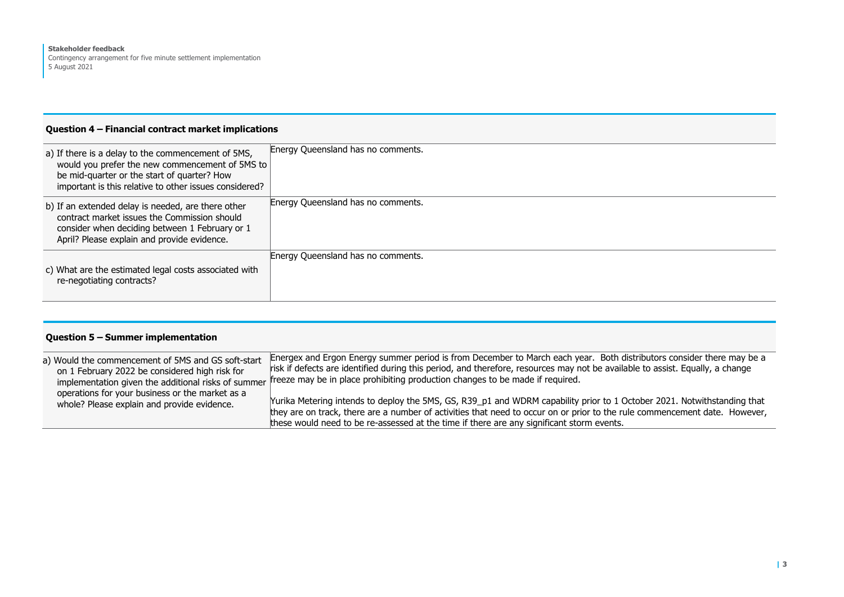## **Question 4 – Financial contract market implications**

| a) If there is a delay to the commencement of 5MS,<br>would you prefer the new commencement of 5MS to<br>be mid-quarter or the start of quarter? How<br>important is this relative to other issues considered? | Energy Queensland has no comments. |
|----------------------------------------------------------------------------------------------------------------------------------------------------------------------------------------------------------------|------------------------------------|
| b) If an extended delay is needed, are there other<br>contract market issues the Commission should<br>consider when deciding between 1 February or 1<br>April? Please explain and provide evidence.            | Energy Queensland has no comments. |
| c) What are the estimated legal costs associated with<br>re-negotiating contracts?                                                                                                                             | Energy Queensland has no comments. |

| Question 5 - Summer implementation                                                                   |                                                                                                                                                                                                                                                                                                                                                                                             |
|------------------------------------------------------------------------------------------------------|---------------------------------------------------------------------------------------------------------------------------------------------------------------------------------------------------------------------------------------------------------------------------------------------------------------------------------------------------------------------------------------------|
| a) Would the commencement of 5MS and GS soft-start<br>on 1 February 2022 be considered high risk for | Energex and Ergon Energy summer period is from December to March each year. Both distributors consider there may be a<br>risk if defects are identified during this period, and therefore, resources may not be available to assist. Equally, a change<br>implementation given the additional risks of summer freeze may be in place prohibiting production changes to be made if required. |
| operations for your business or the market as a<br>whole? Please explain and provide evidence.       | Yurika Metering intends to deploy the 5MS, GS, R39_p1 and WDRM capability prior to 1 October 2021. Notwithstanding that<br>they are on track, there are a number of activities that need to occur on or prior to the rule commencement date. However,<br>these would need to be re-assessed at the time if there are any significant storm events.                                          |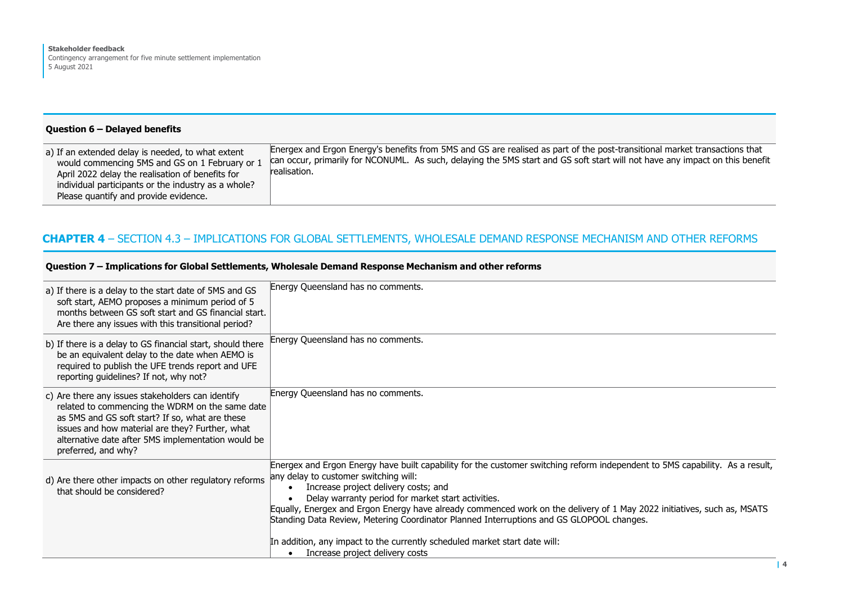#### **Question 6 – Delayed benefits**

| a) If an extended delay is needed, to what extent<br>would commencing 5MS and GS on 1 February or 1<br>April 2022 delay the realisation of benefits for<br>individual participants or the industry as a whole?<br>Please quantify and provide evidence. | Energex and Ergon Energy's benefits from 5MS and GS are realised as part of the post-transitional market transactions that<br>can occur, primarily for NCONUML. As such, delaying the 5MS start and GS soft start will not have any impact on this benefit<br>realisation. |
|---------------------------------------------------------------------------------------------------------------------------------------------------------------------------------------------------------------------------------------------------------|----------------------------------------------------------------------------------------------------------------------------------------------------------------------------------------------------------------------------------------------------------------------------|
|---------------------------------------------------------------------------------------------------------------------------------------------------------------------------------------------------------------------------------------------------------|----------------------------------------------------------------------------------------------------------------------------------------------------------------------------------------------------------------------------------------------------------------------------|

# **CHAPTER 4** – SECTION 4.3 – IMPLICATIONS FOR GLOBAL SETTLEMENTS, WHOLESALE DEMAND RESPONSE MECHANISM AND OTHER REFORMS

## **Question 7 – Implications for Global Settlements, Wholesale Demand Response Mechanism and other reforms**

| a) If there is a delay to the start date of 5MS and GS<br>soft start, AEMO proposes a minimum period of 5<br>months between GS soft start and GS financial start.<br>Are there any issues with this transitional period?                                                                | Energy Queensland has no comments.                                                                                                                                                                                                                                                                                                                                                                                                                                                                      |
|-----------------------------------------------------------------------------------------------------------------------------------------------------------------------------------------------------------------------------------------------------------------------------------------|---------------------------------------------------------------------------------------------------------------------------------------------------------------------------------------------------------------------------------------------------------------------------------------------------------------------------------------------------------------------------------------------------------------------------------------------------------------------------------------------------------|
| b) If there is a delay to GS financial start, should there<br>be an equivalent delay to the date when AEMO is<br>required to publish the UFE trends report and UFE<br>reporting guidelines? If not, why not?                                                                            | Energy Queensland has no comments.                                                                                                                                                                                                                                                                                                                                                                                                                                                                      |
| c) Are there any issues stakeholders can identify<br>related to commencing the WDRM on the same date<br>as 5MS and GS soft start? If so, what are these<br>issues and how material are they? Further, what<br>alternative date after 5MS implementation would be<br>preferred, and why? | Energy Queensland has no comments.                                                                                                                                                                                                                                                                                                                                                                                                                                                                      |
| d) Are there other impacts on other regulatory reforms<br>that should be considered?                                                                                                                                                                                                    | Energex and Ergon Energy have built capability for the customer switching reform independent to 5MS capability. As a result,<br>any delay to customer switching will:<br>Increase project delivery costs; and<br>$\bullet$<br>Delay warranty period for market start activities.<br>Equally, Energex and Ergon Energy have already commenced work on the delivery of 1 May 2022 initiatives, such as, MSATS<br>Standing Data Review, Metering Coordinator Planned Interruptions and GS GLOPOOL changes. |
|                                                                                                                                                                                                                                                                                         | In addition, any impact to the currently scheduled market start date will:<br>Increase project delivery costs<br>$\bullet$                                                                                                                                                                                                                                                                                                                                                                              |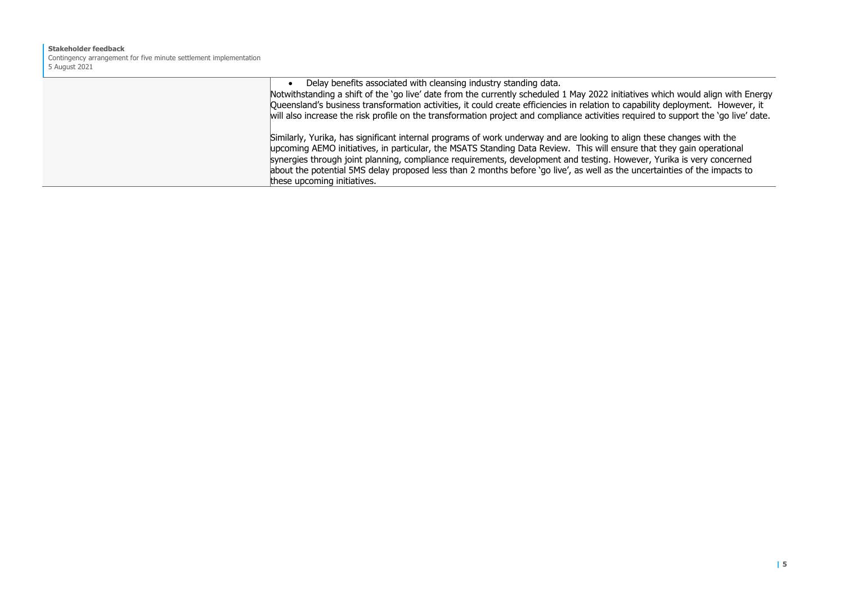#### **Stakeholder feedback** Contingency arrangement for five minute settlement implementation 5 August 2021

| Delay benefits associated with cleansing industry standing data.<br>Notwithstanding a shift of the 'go live' date from the currently scheduled 1 May 2022 initiatives which would align with Energy<br>Queensland's business transformation activities, it could create efficiencies in relation to capability deployment. However, it<br>will also increase the risk profile on the transformation project and compliance activities required to support the 'go live' date.                                                        |
|--------------------------------------------------------------------------------------------------------------------------------------------------------------------------------------------------------------------------------------------------------------------------------------------------------------------------------------------------------------------------------------------------------------------------------------------------------------------------------------------------------------------------------------|
| Similarly, Yurika, has significant internal programs of work underway and are looking to align these changes with the<br>upcoming AEMO initiatives, in particular, the MSATS Standing Data Review. This will ensure that they gain operational<br>synergies through joint planning, compliance requirements, development and testing. However, Yurika is very concerned<br>about the potential 5MS delay proposed less than 2 months before 'go live', as well as the uncertainties of the impacts to<br>these upcoming initiatives. |